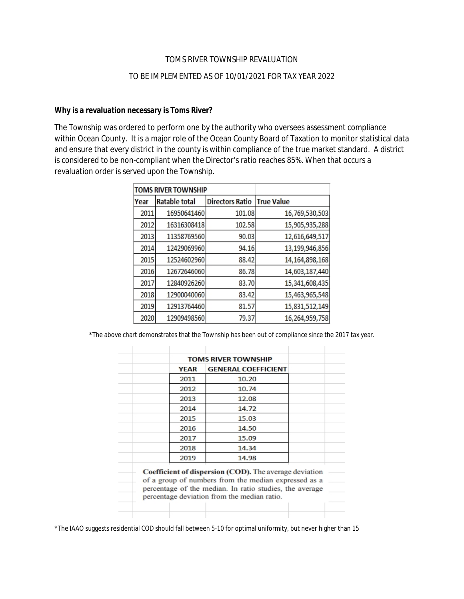#### TOMS RIVER TOWNSHIP REVALUATION

## TO BE IMPLEMENTED AS OF 10/01/2021 FOR TAX YEAR 2022

## **Why is a revaluation necessary is Toms River?**

The Township was ordered to perform one by the authority who oversees assessment compliance within Ocean County. It is a major role of the Ocean County Board of Taxation to monitor statistical data and ensure that every district in the county is within compliance of the true market standard. A district is considered to be non-compliant when the Director's ratio reaches 85%. When that occurs a revaluation order is served upon the Township.

| TOMS RIVER TOWNSHIP |               |                        |                   |
|---------------------|---------------|------------------------|-------------------|
| Year                | Ratable total | <b>Directors Ratio</b> | <b>True Value</b> |
| 2011                | 16950641460   | 101.08                 | 16,769,530,503    |
| 2012                | 16316308418   | 102.58                 | 15,905,935,288    |
| 2013                | 11358769560   | 90.03                  | 12,616,649,517    |
| 2014                | 12429069960   | 94.16                  | 13,199,946,856    |
| 2015                | 12524602960   | 88.42                  | 14,164,898,168    |
| 2016                | 12672646060   | 86.78                  | 14,603,187,440    |
| 2017                | 12840926260   | 83.70                  | 15,341,608,435    |
| 2018                | 12900040060   | 83.42                  | 15,463,965,548    |
| 2019                | 12913764460   | 81.57                  | 15,831,512,149    |
| 2020                | 12909498560   | 79.37                  | 16,264,959,758    |

\*The above chart demonstrates that the Township has been out of compliance since the 2017 tax year.

| <b>YEAR</b> | <b>GENERAL COEFFICIENT</b>                                                                                                                                                                                                      |  |
|-------------|---------------------------------------------------------------------------------------------------------------------------------------------------------------------------------------------------------------------------------|--|
|             |                                                                                                                                                                                                                                 |  |
| 2011        | 10.20                                                                                                                                                                                                                           |  |
| 2012        | 10.74                                                                                                                                                                                                                           |  |
| 2013        | 12.08                                                                                                                                                                                                                           |  |
| 2014        | 14.72                                                                                                                                                                                                                           |  |
| 2015        | 15.03                                                                                                                                                                                                                           |  |
| 2016        | 14.50                                                                                                                                                                                                                           |  |
| 2017        | 15.09                                                                                                                                                                                                                           |  |
| 2018        | 14.34                                                                                                                                                                                                                           |  |
| 2019        | 14.98                                                                                                                                                                                                                           |  |
|             | <b>Coefficient of dispersion (COD).</b> The average deviation<br>of a group of numbers from the median expressed as a<br>percentage of the median. In ratio studies, the average<br>percentage deviation from the median ratio. |  |

\*The IAAO suggests residential COD should fall between 5-10 for optimal uniformity, but never higher than 15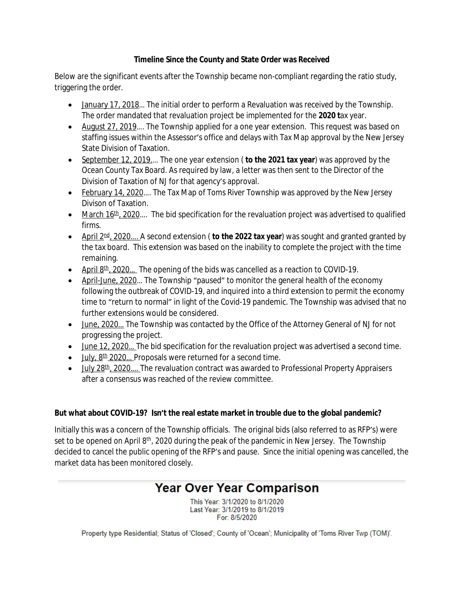## **Timeline Since the County and State Order was Received**

Below are the significant events after the Township became non-compliant regarding the ratio study, triggering the order.

- January 17, 2018... The initial order to perform a Revaluation was received by the Township. The order mandated that revaluation project be implemented for the **2020 t**ax year.
- August 27, 2019.... The Township applied for a one year extension. This request was based on staffing issues within the Assessor's office and delays with Tax Map approval by the New Jersey State Division of Taxation.
- September 12, 2019.… The one year extension ( **to the 2021 tax year**) was approved by the Ocean County Tax Board. As required by law, a letter was then sent to the Director of the Division of Taxation of NJ for that agency's approval.
- February 14, 2020.... The Tax Map of Toms River Township was approved by the New Jersey Divison of Taxation.
- $\blacksquare$  March 16<sup>th</sup>, 2020.... The bid specification for the revaluation project was advertised to qualified firms.
- April 2<sup>nd</sup>, 2020.... A second extension (**to the 2022 tax year**) was sought and granted granted by the tax board. This extension was based on the inability to complete the project with the time remaining.
- April  $8th$ , 2020... The opening of the bids was cancelled as a reaction to COVID-19.
- April-June, 2020... The Township "paused" to monitor the general health of the economy following the outbreak of COVID-19, and inquired into a third extension to permit the economy time to "return to normal" in light of the Covid-19 pandemic. The Township was advised that no further extensions would be considered.
- June, 2020... The Township was contacted by the Office of the Attorney General of NJ for not progressing the project.
- June 12, 2020... The bid specification for the revaluation project was advertised a second time.
- $\bullet$  July,  $8<sup>th</sup>$  2020... Proposals were returned for a second time.
- July 28<sup>th</sup>, 2020.... The revaluation contract was awarded to Professional Property Appraisers after a consensus was reached of the review committee.

## **But what about COVID-19? Isn't the real estate market in trouble due to the global pandemic?**

Initially this was a concern of the Township officials. The original bids (also referred to as RFP's) were set to be opened on April  $8<sup>th</sup>$ , 2020 during the peak of the pandemic in New Jersey. The Township decided to cancel the public opening of the RFP's and pause. Since the initial opening was cancelled, the market data has been monitored closely.

# **Year Over Year Comparison**

This Year: 3/1/2020 to 8/1/2020 Last Year: 3/1/2019 to 8/1/2019 For: 8/5/2020

Property type Residential; Status of 'Closed'; County of 'Ocean'; Municipality of 'Toms River Twp (TOM)'.